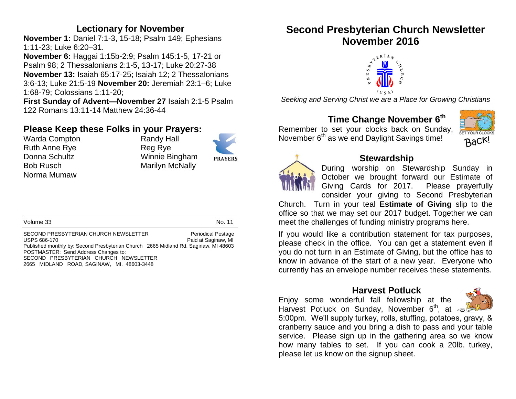### **Lectionary for November**

**November 1:** Daniel 7:1-3, 15-18; Psalm 149; Ephesians 1:11-23; Luke 6:20–31.

**November 6:** Haggai 1:15b-2:9; Psalm 145:1-5, 17-21 or Psalm 98; 2 Thessalonians 2:1-5, 13-17; Luke 20:27-38 **November 13:** Isaiah 65:17-25; Isaiah 12; 2 Thessalonians 3:6-13; Luke 21:5-19 **November 20:** Jeremiah 23:1–6; Luke 1:68-79; Colossians 1:11-20;

**First Sunday of Advent—November 27** Isaiah 2:1-5 Psalm 122 Romans 13:11-14 Matthew 24:36-44

# **Please Keep these Folks in your Prayers:**

Warda Compton Randy Hall Ruth Anne Rye **Reg Rye** Donna Schultz Winnie Bingham Bob Rusch Marilyn McNally Norma Mumaw



Volume 33 No. 11

SECOND PRESBYTERIAN CHURCH NEWSLETTER Periodical Postage USPS 686-170 **Paid at Saginaw, MI** Published monthly by: Second Presbyterian Church 2665 Midland Rd. Saginaw, MI 48603 POSTMASTER: Send Address Changes to: SECOND PRESBYTERIAN CHURCH NEWSLETTER 2665 MIDLAND ROAD, SAGINAW, MI. 48603-3448

# **Second Presbyterian Church Newsletter November 2016**



*Seeking and Serving Christ we are a Place for Growing Christians*

# **Time Change November 6 th**

Remember to set your clocks back on Sunday, November 6<sup>th</sup> as we end Daylight Savings time!





## **Stewardship**

During worship on Stewardship Sunday in October we brought forward our Estimate of Giving Cards for 2017. Please prayerfully consider your giving to Second Presbyterian

Church. Turn in your teal **Estimate of Giving** slip to the office so that we may set our 2017 budget. Together we can meet the challenges of funding ministry programs here.

If you would like a contribution statement for tax purposes, please check in the office. You can get a statement even if you do not turn in an Estimate of Giving, but the office has to know in advance of the start of a new year. Everyone who currently has an envelope number receives these statements.

#### **Harvest Potluck**

Enjoy some wonderful fall fellowship at the Harvest Potluck on Sunday, November 6<sup>th</sup>, at



5:00pm. We'll supply turkey, rolls, stuffing, potatoes, gravy, & cranberry sauce and you bring a dish to pass and your table service. Please sign up in the gathering area so we know how many tables to set. If you can cook a 20lb. turkey, please let us know on the signup sheet.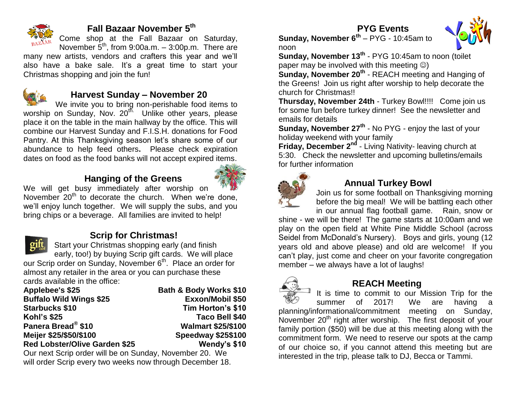

## **Fall Bazaar November 5 th**

Come shop at the Fall Bazaar on Saturday, November  $5<sup>th</sup>$ , from 9:00a.m.  $-$  3:00p.m. There are

many new artists, vendors and crafters this year and we'll also have a bake sale. It's a great time to start your Christmas shopping and join the fun!



## **Harvest Sunday – November 20**

We invite you to bring non-perishable food items to worship on Sunday, Nov. 20<sup>th.</sup> Unlike other years, please place it on the table in the main hallway by the office. This will combine our Harvest Sunday and F.I.S.H. donations for Food Pantry. At this Thanksgiving season let's share some of our abundance to help feed others**.** Please check expiration dates on food as the food banks will not accept expired items.

# **Hanging of the Greens**



We will get busy immediately after worship on November  $20<sup>th</sup>$  to decorate the church. When we're done, we'll enjoy lunch together. We will supply the subs, and you bring chips or a beverage. All families are invited to help!



## **Scrip for Christmas!**

Start your Christmas shopping early (and finish early, too!) by buying Scrip gift cards. We will place our Scrip order on Sunday, November 6<sup>th</sup>. Place an order for almost any retailer in the area or you can purchase these

| cards available in the office:       |                                   |
|--------------------------------------|-----------------------------------|
| Applebee's \$25                      | <b>Bath &amp; Body Works \$10</b> |
| <b>Buffalo Wild Wings \$25</b>       | Exxon/Mobil \$50                  |
| <b>Starbucks \$10</b>                | Tim Horton's \$10                 |
| <b>Kohl's \$25</b>                   | Taco Bell \$40                    |
| Panera Bread <sup>®</sup> \$10       | <b>Walmart \$25/\$100</b>         |
| Meijer \$25/\$50/\$100               | <b>Speedway \$25\$100</b>         |
| <b>Red Lobster/Olive Garden \$25</b> | Wendy's \$10                      |
|                                      |                                   |

Our next Scrip order will be on Sunday, November 20. We will order Scrip every two weeks now through December 18.

### **PYG Events**



**Sunday, November 6th** – PYG - 10:45am to noon

**Sunday, November 13th** - PYG 10:45am to noon (toilet paper may be involved with this meeting  $\circledcirc$ )

**Sunday, November 20th** - REACH meeting and Hanging of the Greens! Join us right after worship to help decorate the church for Christmas!!

**Thursday, November 24th** - Turkey Bowl!!!! Come join us for some fun before turkey dinner! See the newsletter and emails for details

**Sunday, November 27<sup>th</sup> - No PYG - enjoy the last of your** holiday weekend with your family

**Friday, December 2nd** - Living Nativity- leaving church at 5:30. Check the newsletter and upcoming bulletins/emails for further information



## **Annual Turkey Bowl**

Join us for some football on Thanksgiving morning before the big meal!We will be battling each other in our annual flag football game. Rain, snow or

shine - we will be there! The game starts at 10:00am and we play on the open field at White Pine Middle School (across Seidel from McDonald's Nursery). Boys and girls, young (12 years old and above please) and old are welcome! If you can't play, just come and cheer on your favorite congregation member – we always have a lot of laughs!



## **REACH Meeting**

It is time to commit to our Mission Trip for the summer of 2017! We are having a planning/informational/commitment meeting on Sunday, November  $20<sup>th</sup>$  right after worship. The first deposit of your family portion (\$50) will be due at this meeting along with the commitment form. We need to reserve our spots at the camp of our choice so, if you cannot attend this meeting but are interested in the trip, please talk to DJ, Becca or Tammi.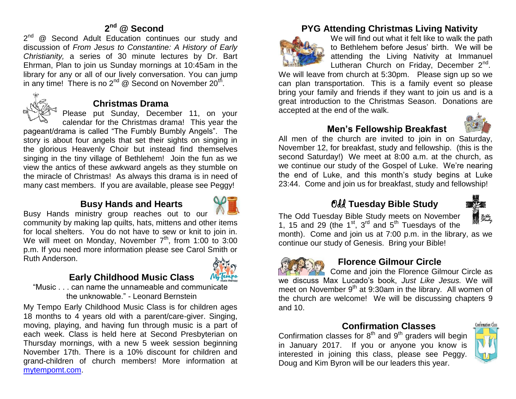#### **2 nd @ Second**

2<sup>nd</sup> @ Second Adult Education continues our study and discussion of *From Jesus to Constantine: A History of Early Christianity,* a series of 30 minute lectures by Dr. Bart Ehrman, Plan to join us Sunday mornings at 10:45am in the library for any or all of our lively conversation. You can jump in any time! There is no 2<sup>nd</sup> @ Second on November 20<sup>th</sup>.



#### **Christmas Drama**

Please put Sunday, December 11, on your calendar for the Christmas drama! This year the

pageant/drama is called "The Fumbly Bumbly Angels". The story is about four angels that set their sights on singing in the glorious Heavenly Choir but instead find themselves singing in the tiny village of Bethlehem! Join the fun as we view the antics of these awkward angels as they stumble on the miracle of Christmas! As always this drama is in need of many cast members. If you are available, please see Peggy!

### **Busy Hands and Hearts**



Busy Hands ministry group reaches out to our community by making lap quilts, hats, mittens and other items for local shelters. You do not have to sew or knit to join in. We will meet on Monday, November  $7<sup>th</sup>$ , from 1:00 to 3:00 p.m. If you need more information please see Carol Smith or Ruth Anderson.

## **Early Childhood Music Class**



"Music . . . can name the unnameable and communicate

the unknowable." - Leonard Bernstein

My Tempo Early Childhood Music Class is for children ages 18 months to 4 years old with a parent/care-giver. Singing, moving, playing, and having fun through music is a part of each week. Class is held here at Second Presbyterian on Thursday mornings, with a new 5 week session beginning November 17th. There is a 10% discount for children and grand-children of church members! More information at [mytempomt.com.](http://mytempomt.com/)

## **PYG Attending Christmas Living Nativity**



We will find out what it felt like to walk the path to Bethlehem before Jesus' birth. We will be attending the Living Nativity at Immanuel Lutheran Church on Friday, December 2<sup>nd</sup>.

We will leave from church at 5:30pm.Please sign up so we can plan transportation. This is a family event so please bring your family and friends if they want to join us and is a great introduction to the Christmas Season. Donations are accepted at the end of the walk.

### **Men's Fellowship Breakfast**



All men of the church are invited to join in on Saturday, November 12, for breakfast, study and fellowship. (this is the second Saturday!) We meet at 8:00 a.m. at the church, as we continue our study of the Gospel of Luke. We're nearing the end of Luke, and this month's study begins at Luke 23:44. Come and join us for breakfast, study and fellowship!

# Odd **Tuesday Bible Study**



The Odd Tuesday Bible Study meets on November 1, 15 and 29 (the  $1<sup>st</sup>$ ,  $3<sup>rd</sup>$  and  $5<sup>th</sup>$  Tuesdays of the

month). Come and join us at 7:00 p.m. in the library, as we continue our study of Genesis. Bring your Bible!



### **Florence Gilmour Circle**

Come and join the Florence Gilmour Circle as we discuss Max Lucado's book, *Just Like Jesus.* We will meet on November 9<sup>th</sup> at 9:30am in the library. All women of the church are welcome! We will be discussing chapters 9 and 10.

#### **Confirmation Classes**

Confirmation classes for  $8<sup>th</sup>$  and  $9<sup>th</sup>$  graders will begin in January 2017. If you or anyone you know is interested in joining this class, please see Peggy. Doug and Kim Byron will be our leaders this year.

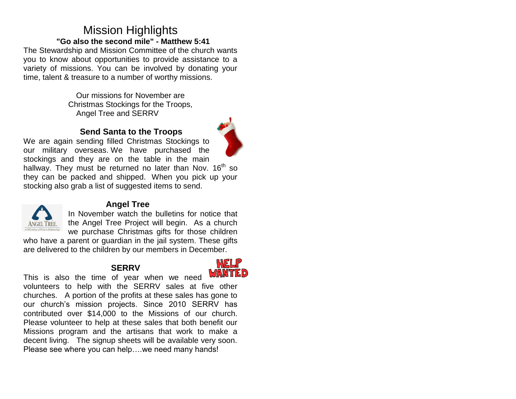# Mission Highlights **"Go also the second mile" - Matthew 5:41**

The Stewardship and Mission Committee of the church wants you to know about opportunities to provide assistance to a variety of missions. You can be involved by donating your time, talent & treasure to a number of worthy missions.

> Our missions for November are Christmas Stockings for the Troops, Angel Tree and SERRV

#### **Send Santa to the Troops**





#### **Angel Tree**

In November watch the bulletins for notice that the Angel Tree Project will begin. As a church we purchase Christmas gifts for those children

who have a parent or quardian in the jail system. These gifts are delivered to the children by our members in December.

### **SERRV**



This is also the time of year when we need volunteers to help with the SERRV sales at five other churches. A portion of the profits at these sales has gone to our church's mission projects. Since 2010 SERRV has contributed over \$14,000 to the Missions of our church. Please volunteer to help at these sales that both benefit our Missions program and the artisans that work to make a decent living. The signup sheets will be available very soon. Please see where you can help….we need many hands!